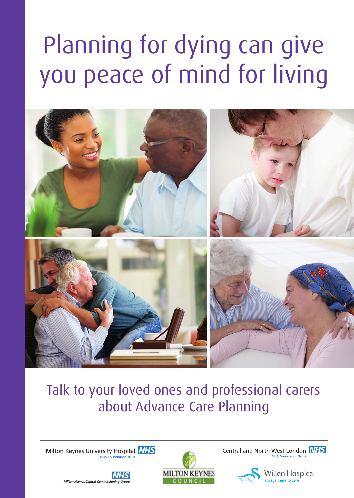# Planning for dying can give you peace of mind for living



### Talk to your loved ones and professional carers about Advance Care Planning

Central and North West London **NHS NHS Foundation Trust** 



Milton Keynes University Hospital **NHS NHS Foundation Trus**